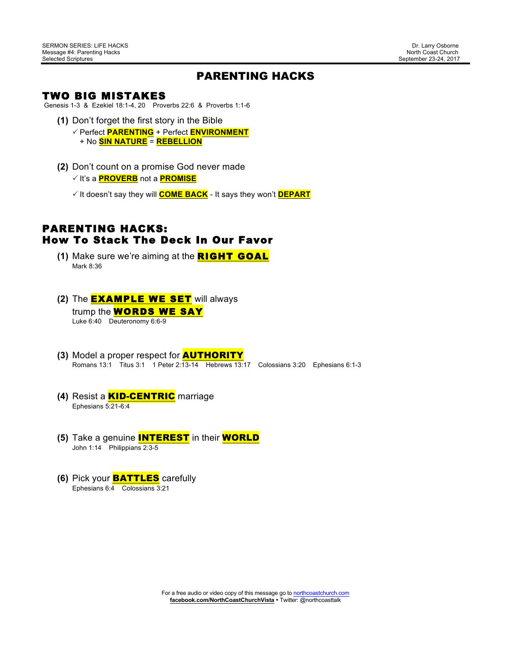# PARENTING HACKS

#### TWO BIG MISTAKES

Genesis 1-3 & Ezekiel 18:1-4, 20 Proverbs 22:6 & Proverbs 1:1-6

- **(1)** Don't forget the first story in the Bible ! Perfect **PARENTING** + Perfect **ENVIRONMENT**
	- + No **SIN NATURE** = **REBELLION**
- **(2)** Don't count on a promise God never made

! It's a **PROVERB** not a **PROMISE**

! It doesn't say they will **COME BACK** - It says they won't **DEPART**

# PARENTING HACKS: How To Stack The Deck In Our Favor

- **(1)** Make sure we're aiming at the RIGHT GOAL Mark 8:36
- **(2)** The EXAMPLE WE SET will always trump the **WORDS WE SAY** Luke 6:40 Deuteronomy 6:6-9
- **(3)** Model a proper respect for AUTHORITY Romans 13:1 Titus 3:1 1 Peter 2:13-14 Hebrews 13:17 Colossians 3:20 Ephesians 6:1-3
- **(4)** Resist a KID-CENTRIC marriage Ephesians 5:21-6:4
- **(5)** Take a genuine INTEREST in their WORLD John 1:14 Philippians 2:3-5
- **(6)** Pick your **BATTLES** carefully Ephesians 6:4 Colossians 3:21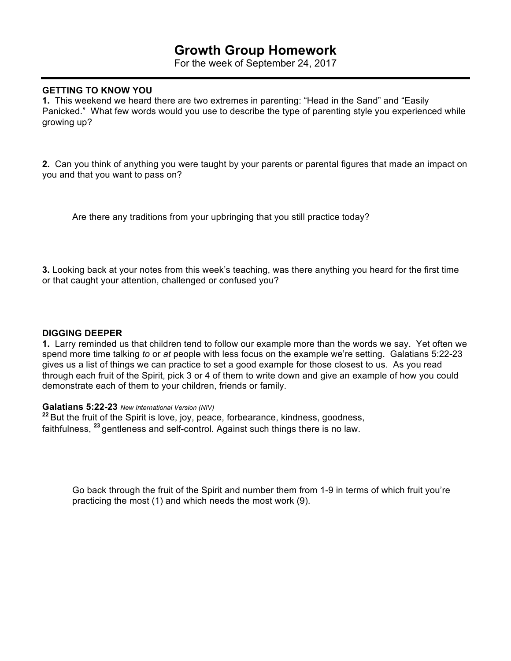# **Growth Group Homework**

For the week of September 24, 2017

### **GETTING TO KNOW YOU**

**1.** This weekend we heard there are two extremes in parenting: "Head in the Sand" and "Easily Panicked." What few words would you use to describe the type of parenting style you experienced while growing up?

**2.** Can you think of anything you were taught by your parents or parental figures that made an impact on you and that you want to pass on?

Are there any traditions from your upbringing that you still practice today?

**3.** Looking back at your notes from this week's teaching, was there anything you heard for the first time or that caught your attention, challenged or confused you?

#### **DIGGING DEEPER**

**1.** Larry reminded us that children tend to follow our example more than the words we say. Yet often we spend more time talking *to* or *at* people with less focus on the example we're setting. Galatians 5:22-23 gives us a list of things we can practice to set a good example for those closest to us. As you read through each fruit of the Spirit, pick 3 or 4 of them to write down and give an example of how you could demonstrate each of them to your children, friends or family.

#### **Galatians 5:22-23** *New International Version (NIV)*

**<sup>22</sup>** But the fruit of the Spirit is love, joy, peace, forbearance, kindness, goodness, faithfulness, **<sup>23</sup>** gentleness and self-control. Against such things there is no law.

Go back through the fruit of the Spirit and number them from 1-9 in terms of which fruit you're practicing the most (1) and which needs the most work (9).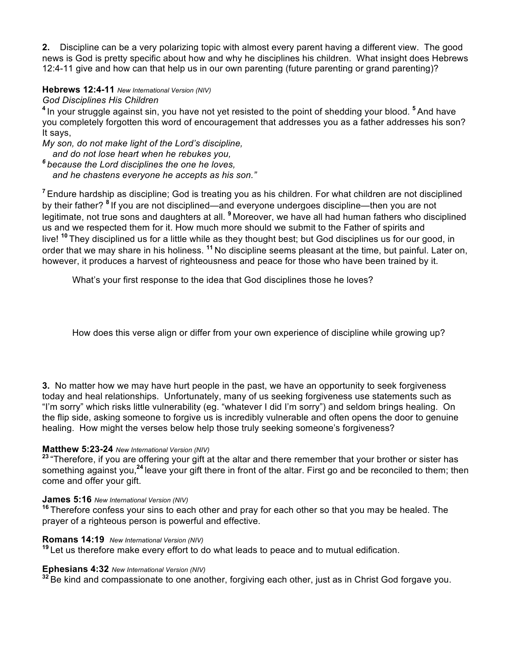**2.** Discipline can be a very polarizing topic with almost every parent having a different view. The good news is God is pretty specific about how and why he disciplines his children. What insight does Hebrews 12:4-11 give and how can that help us in our own parenting (future parenting or grand parenting)?

# **Hebrews 12:4-11** *New International Version (NIV)*

### *God Disciplines His Children*

**<sup>4</sup>** In your struggle against sin, you have not yet resisted to the point of shedding your blood. **<sup>5</sup>** And have you completely forgotten this word of encouragement that addresses you as a father addresses his son? It says,

*My son, do not make light of the Lord's discipline,*

 *and do not lose heart when he rebukes you,*

*<sup>6</sup> because the Lord disciplines the one he loves, and he chastens everyone he accepts as his son."*

**<sup>7</sup>** Endure hardship as discipline; God is treating you as his children. For what children are not disciplined by their father? **<sup>8</sup>** If you are not disciplined—and everyone undergoes discipline—then you are not legitimate, not true sons and daughters at all. **<sup>9</sup>** Moreover, we have all had human fathers who disciplined us and we respected them for it. How much more should we submit to the Father of spirits and live! **<sup>10</sup>** They disciplined us for a little while as they thought best; but God disciplines us for our good, in order that we may share in his holiness. **<sup>11</sup>** No discipline seems pleasant at the time, but painful. Later on, however, it produces a harvest of righteousness and peace for those who have been trained by it.

What's your first response to the idea that God disciplines those he loves?

How does this verse align or differ from your own experience of discipline while growing up?

**3.** No matter how we may have hurt people in the past, we have an opportunity to seek forgiveness today and heal relationships. Unfortunately, many of us seeking forgiveness use statements such as "I'm sorry" which risks little vulnerability (eg. "whatever I did I'm sorry") and seldom brings healing. On the flip side, asking someone to forgive us is incredibly vulnerable and often opens the door to genuine healing. How might the verses below help those truly seeking someone's forgiveness?

# **Matthew 5:23-24** *New International Version (NIV)*

**<sup>23</sup>** "Therefore, if you are offering your gift at the altar and there remember that your brother or sister has something against you,**<sup>24</sup>** leave your gift there in front of the altar. First go and be reconciled to them; then come and offer your gift.

#### **James 5:16** *New International Version (NIV)*

**<sup>16</sup>** Therefore confess your sins to each other and pray for each other so that you may be healed. The prayer of a righteous person is powerful and effective.

# **Romans 14:19** *New International Version (NIV)*

**<sup>19</sup>** Let us therefore make every effort to do what leads to peace and to mutual edification.

### **Ephesians 4:32** *New International Version (NIV)*

**<sup>32</sup>** Be kind and compassionate to one another, forgiving each other, just as in Christ God forgave you.